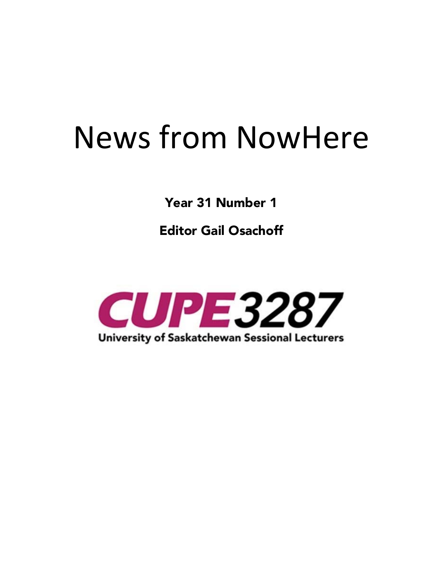# News from NowHere

**Year 31 Number 1** 

**Editor Gail Osachoff**

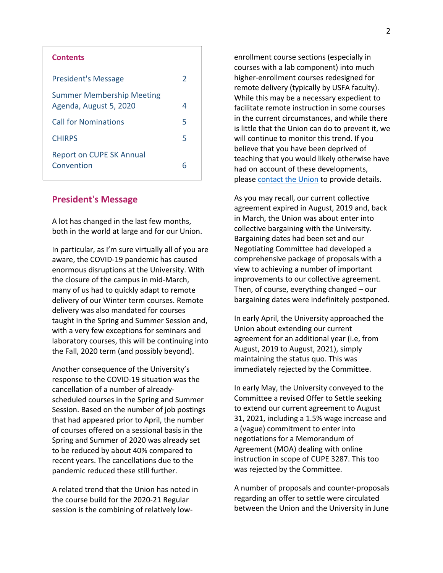| <b>Contents</b>                                            |               |
|------------------------------------------------------------|---------------|
| <b>President's Message</b>                                 | $\mathcal{P}$ |
| <b>Summer Membership Meeting</b><br>Agenda, August 5, 2020 | 4             |
| <b>Call for Nominations</b>                                | 5             |
| <b>CHIRPS</b>                                              | 5             |
| <b>Report on CUPE SK Annual</b><br>Convention              | 6             |

### **President's Message**

A lot has changed in the last few months, both in the world at large and for our Union.

In particular, as I'm sure virtually all of you are aware, the COVID-19 pandemic has caused enormous disruptions at the University. With the closure of the campus in mid-March, many of us had to quickly adapt to remote delivery of our Winter term courses. Remote delivery was also mandated for courses taught in the Spring and Summer Session and, with a very few exceptions for seminars and laboratory courses, this will be continuing into the Fall, 2020 term (and possibly beyond).

Another consequence of the University's response to the COVID-19 situation was the cancellation of a number of alreadyscheduled courses in the Spring and Summer Session. Based on the number of job postings that had appeared prior to April, the number of courses offered on a sessional basis in the Spring and Summer of 2020 was already set to be reduced by about 40% compared to recent years. The cancellations due to the pandemic reduced these still further.

A related trend that the Union has noted in the course build for the 2020-21 Regular session is the combining of relatively low-

enrollment course sections (especially in courses with a lab component) into much higher-enrollment courses redesigned for remote delivery (typically by USFA faculty). While this may be a necessary expedient to facilitate remote instruction in some courses in the current circumstances, and while there is little that the Union can do to prevent it, we will continue to monitor this trend. If you believe that you have been deprived of teaching that you would likely otherwise have had on account of these developments, please contact the Union to provide details.

As you may recall, our current collective agreement expired in August, 2019 and, back in March, the Union was about enter into collective bargaining with the University. Bargaining dates had been set and our Negotiating Committee had developed a comprehensive package of proposals with a view to achieving a number of important improvements to our collective agreement. Then, of course, everything changed – our bargaining dates were indefinitely postponed.

In early April, the University approached the Union about extending our current agreement for an additional year (i.e, from August, 2019 to August, 2021), simply maintaining the status quo. This was immediately rejected by the Committee.

In early May, the University conveyed to the Committee a revised Offer to Settle seeking to extend our current agreement to August 31, 2021, including a 1.5% wage increase and a (vague) commitment to enter into negotiations for a Memorandum of Agreement (MOA) dealing with online instruction in scope of CUPE 3287. This too was rejected by the Committee.

A number of proposals and counter-proposals regarding an offer to settle were circulated between the Union and the University in June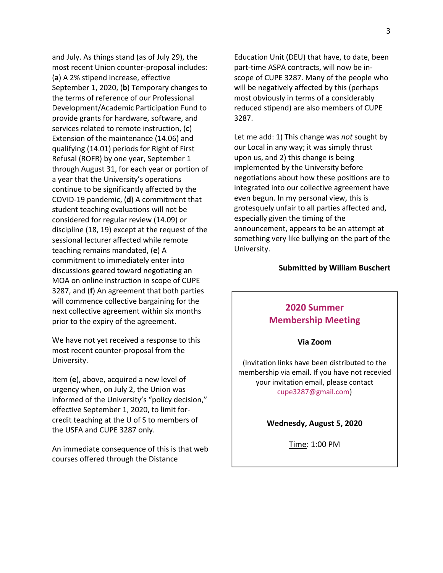and July. As things stand (as of July 29), the most recent Union counter-proposal includes: (**a**) A 2% stipend increase, effective September 1, 2020, (**b**) Temporary changes to the terms of reference of our Professional Development/Academic Participation Fund to provide grants for hardware, software, and services related to remote instruction, (**c**) Extension of the maintenance (14.06) and qualifying (14.01) periods for Right of First Refusal (ROFR) by one year, September 1 through August 31, for each year or portion of a year that the University's operations continue to be significantly affected by the COVID-19 pandemic, (**d**) A commitment that student teaching evaluations will not be considered for regular review (14.09) or discipline (18, 19) except at the request of the sessional lecturer affected while remote teaching remains mandated, (**e**) A commitment to immediately enter into discussions geared toward negotiating an MOA on online instruction in scope of CUPE 3287, and (**f**) An agreement that both parties will commence collective bargaining for the next collective agreement within six months prior to the expiry of the agreement.

We have not yet received a response to this most recent counter-proposal from the University.

Item (**e**), above, acquired a new level of urgency when, on July 2, the Union was informed of the University's "policy decision," effective September 1, 2020, to limit forcredit teaching at the U of S to members of the USFA and CUPE 3287 only.

An immediate consequence of this is that web courses offered through the Distance

Education Unit (DEU) that have, to date, been part-time ASPA contracts, will now be inscope of CUPE 3287. Many of the people who will be negatively affected by this (perhaps most obviously in terms of a considerably reduced stipend) are also members of CUPE 3287.

Let me add: 1) This change was *not* sought by our Local in any way; it was simply thrust upon us, and 2) this change is being implemented by the University before negotiations about how these positions are to integrated into our collective agreement have even begun. In my personal view, this is grotesquely unfair to all parties affected and, especially given the timing of the announcement, appears to be an attempt at something very like bullying on the part of the University.

#### **Submitted by William Buschert**

## **2020 Summer Membership Meeting**

#### **Via Zoom**

(Invitation links have been distributed to the membership via email. If you have not recevied your invitation email, please contact cupe3287@gmail.com)

#### **Wednesdy, August 5, 2020**

Time: 1:00 PM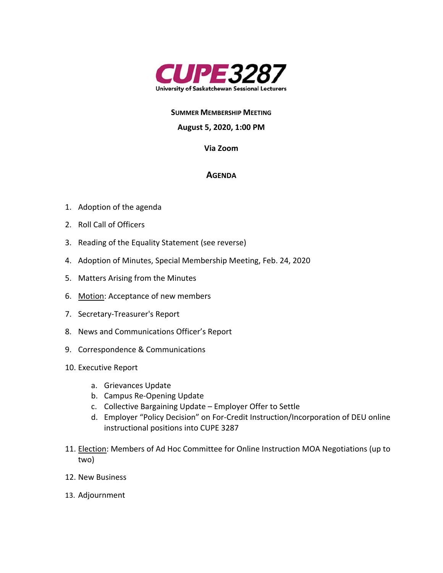

#### **SUMMER MEMBERSHIP MEETING**

#### **August 5, 2020, 1:00 PM**

#### **Via Zoom**

#### **AGENDA**

- 1. Adoption of the agenda
- 2. Roll Call of Officers
- 3. Reading of the Equality Statement (see reverse)
- 4. Adoption of Minutes, Special Membership Meeting, Feb. 24, 2020
- 5. Matters Arising from the Minutes
- 6. Motion: Acceptance of new members
- 7. Secretary-Treasurer's Report
- 8. News and Communications Officer's Report
- 9. Correspondence & Communications
- 10. Executive Report
	- a. Grievances Update
	- b. Campus Re-Opening Update
	- c. Collective Bargaining Update Employer Offer to Settle
	- d. Employer "Policy Decision" on For-Credit Instruction/Incorporation of DEU online instructional positions into CUPE 3287
- 11. Election: Members of Ad Hoc Committee for Online Instruction MOA Negotiations (up to two)
- 12. New Business
- 13. Adjournment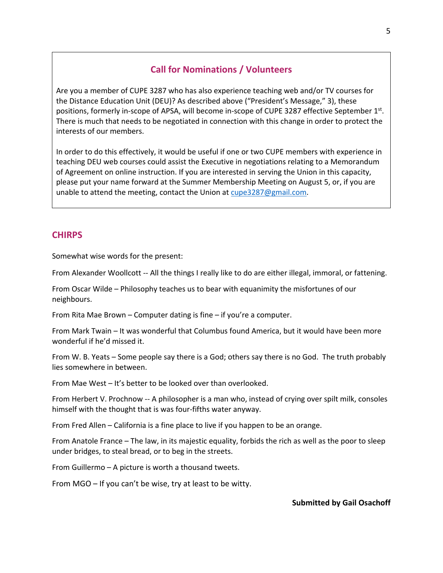## **Call for Nominations / Volunteers**

Are you a member of CUPE 3287 who has also experience teaching web and/or TV courses for the Distance Education Unit (DEU)? As described above ("President's Message," 3), these positions, formerly in-scope of APSA, will become in-scope of CUPE 3287 effective September 1st. There is much that needs to be negotiated in connection with this change in order to protect the interests of our members.

In order to do this effectively, it would be useful if one or two CUPE members with experience in teaching DEU web courses could assist the Executive in negotiations relating to a Memorandum of Agreement on online instruction. If you are interested in serving the Union in this capacity, please put your name forward at the Summer Membership Meeting on August 5, or, if you are unable to attend the meeting, contact the Union at cupe3287@gmail.com.

## **CHIRPS**

Somewhat wise words for the present:

From Alexander Woollcott -- All the things I really like to do are either illegal, immoral, or fattening.

From Oscar Wilde – Philosophy teaches us to bear with equanimity the misfortunes of our neighbours.

From Rita Mae Brown – Computer dating is fine – if you're a computer.

From Mark Twain – It was wonderful that Columbus found America, but it would have been more wonderful if he'd missed it.

From W. B. Yeats – Some people say there is a God; others say there is no God. The truth probably lies somewhere in between.

From Mae West – It's better to be looked over than overlooked.

From Herbert V. Prochnow -- A philosopher is a man who, instead of crying over spilt milk, consoles himself with the thought that is was four-fifths water anyway.

From Fred Allen – California is a fine place to live if you happen to be an orange.

From Anatole France – The law, in its majestic equality, forbids the rich as well as the poor to sleep under bridges, to steal bread, or to beg in the streets.

From Guillermo – A picture is worth a thousand tweets.

From MGO – If you can't be wise, try at least to be witty.

#### **Submitted by Gail Osachoff**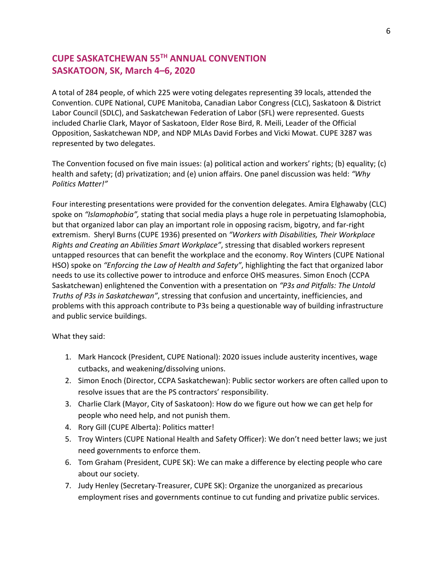## **CUPE SASKATCHEWAN 55TH ANNUAL CONVENTION SASKATOON, SK, March 4–6, 2020**

A total of 284 people, of which 225 were voting delegates representing 39 locals, attended the Convention. CUPE National, CUPE Manitoba, Canadian Labor Congress (CLC), Saskatoon & District Labor Council (SDLC), and Saskatchewan Federation of Labor (SFL) were represented. Guests included Charlie Clark, Mayor of Saskatoon, Elder Rose Bird, R. Meili, Leader of the Official Opposition, Saskatchewan NDP, and NDP MLAs David Forbes and Vicki Mowat. CUPE 3287 was represented by two delegates.

The Convention focused on five main issues: (a) political action and workers' rights; (b) equality; (c) health and safety; (d) privatization; and (e) union affairs. One panel discussion was held: *"Why Politics Matter!"*

Four interesting presentations were provided for the convention delegates. Amira Elghawaby (CLC) spoke on *"Islamophobia",* stating that social media plays a huge role in perpetuating Islamophobia, but that organized labor can play an important role in opposing racism, bigotry, and far-right extremism.Sheryl Burns (CUPE 1936) presented on *"Workers with Disabilities, Their Workplace Rights and Creating an Abilities Smart Workplace"*, stressing that disabled workers represent untapped resources that can benefit the workplace and the economy. Roy Winters (CUPE National HSO) spoke on *"Enforcing the Law of Health and Safety"*, highlighting the fact that organized labor needs to use its collective power to introduce and enforce OHS measures. Simon Enoch (CCPA Saskatchewan) enlightened the Convention with a presentation on *"P3s and Pitfalls: The Untold Truths of P3s in Saskatchewan"*, stressing that confusion and uncertainty, inefficiencies, and problems with this approach contribute to P3s being a questionable way of building infrastructure and public service buildings.

What they said:

- 1. Mark Hancock (President, CUPE National): 2020 issues include austerity incentives, wage cutbacks, and weakening/dissolving unions.
- 2. Simon Enoch (Director, CCPA Saskatchewan): Public sector workers are often called upon to resolve issues that are the PS contractors' responsibility.
- 3. Charlie Clark (Mayor, City of Saskatoon): How do we figure out how we can get help for people who need help, and not punish them.
- 4. Rory Gill (CUPE Alberta): Politics matter!
- 5. Troy Winters (CUPE National Health and Safety Officer): We don't need better laws; we just need governments to enforce them.
- 6. Tom Graham (President, CUPE SK): We can make a difference by electing people who care about our society.
- 7. Judy Henley (Secretary-Treasurer, CUPE SK): Organize the unorganized as precarious employment rises and governments continue to cut funding and privatize public services.